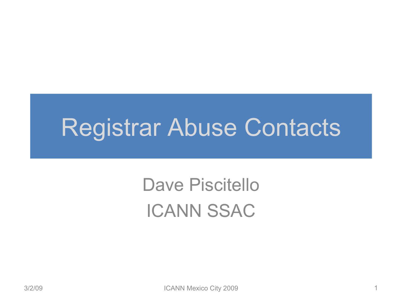#### Registrar Abuse Contacts

#### Dave Piscitello ICANN SSAC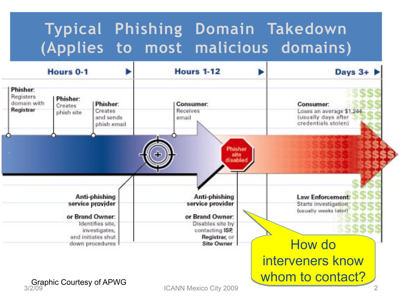#### **Typical Phishing Domain Takedown (Applies to most malicious domains)**

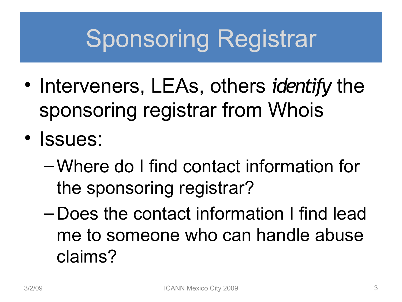# Sponsoring Registrar

- Interveners, LEAs, others *identify* the sponsoring registrar from Whois
- Issues:
	- –Where do I find contact information for the sponsoring registrar?
	- Does the contact information I find lead me to someone who can handle abuse claims?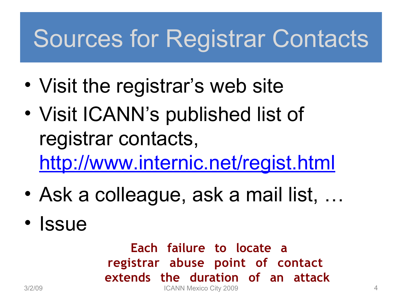# Sources for Registrar Contacts

- Visit the registrar's web site
- Visit ICANN's published list of registrar contacts, <http://www.internic.net/regist.html>
- Ask a colleague, ask a mail list, …
- Issue

**Each failure to locate a registrar abuse point of contact extends the duration of an attack** 3/2/09 ICANN Mexico City 2009 4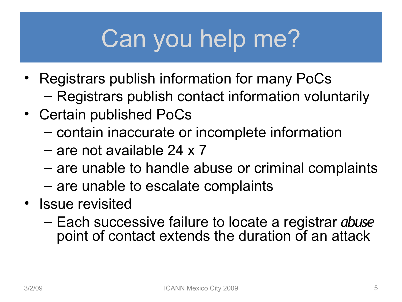# Can you help me?

- Registrars publish information for many PoCs – Registrars publish contact information voluntarily
- Certain published PoCs
	- contain inaccurate or incomplete information
	- are not available 24 x 7
	- are unable to handle abuse or criminal complaints
	- are unable to escalate complaints
- Issue revisited
	- Each successive failure to locate a registrar *abuse*  point of contact extends the duration of an attack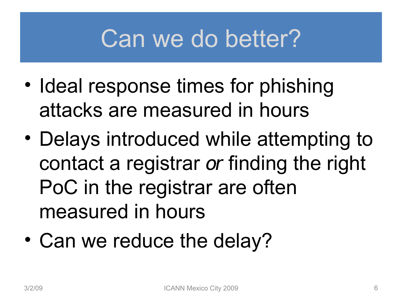## Can we do better?

- Ideal response times for phishing attacks are measured in hours
- Delays introduced while attempting to contact a registrar *or* finding the right PoC in the registrar are often measured in hours
- Can we reduce the delay?